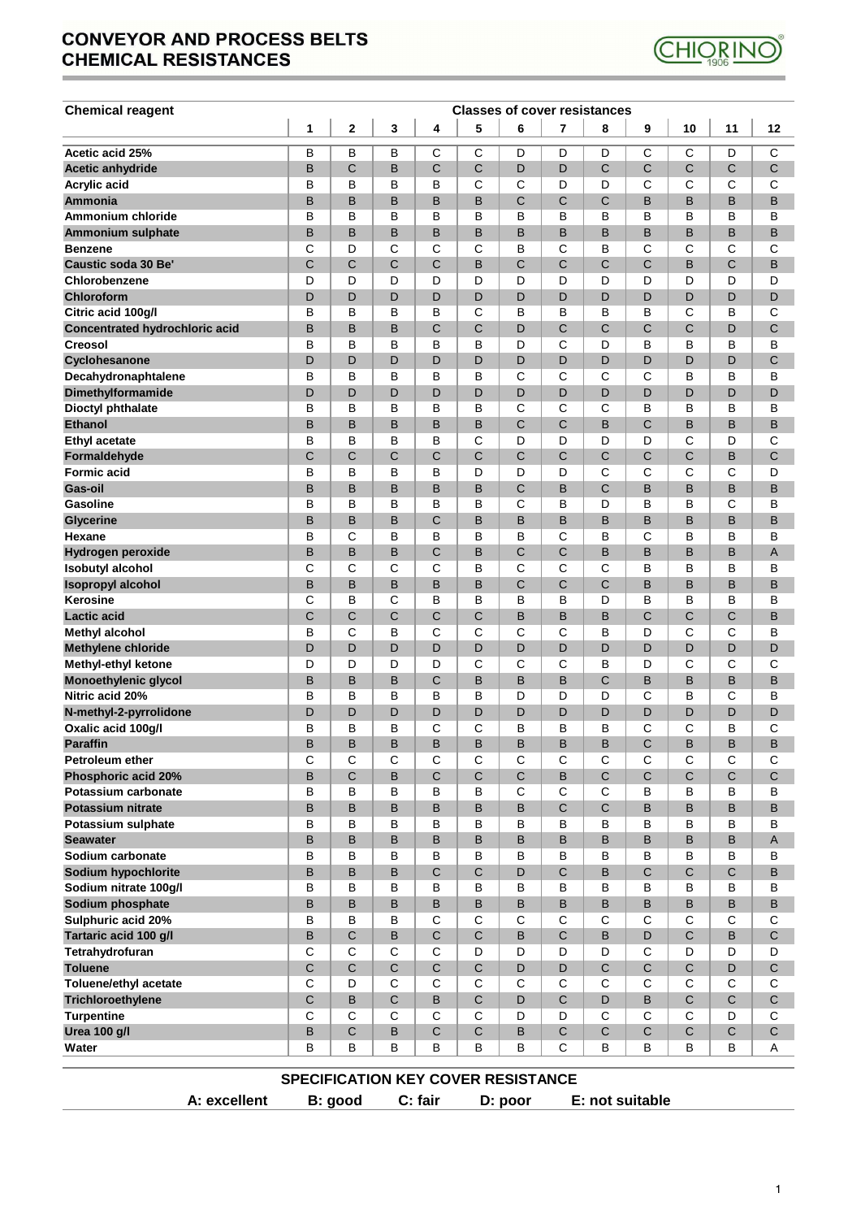## **CONVEYOR AND PROCESS BELTS CHEMICAL RESISTANCES**



| <b>Chemical reagent</b>                        | <b>Classes of cover resistances</b><br>$\overline{\mathbf{2}}$<br>5<br>6<br>8<br>1<br>3<br>4<br>$\overline{7}$<br>9<br>10<br>11 |                  |              |                  |                                           |              |              |              |             |                  |              |                  |
|------------------------------------------------|---------------------------------------------------------------------------------------------------------------------------------|------------------|--------------|------------------|-------------------------------------------|--------------|--------------|--------------|-------------|------------------|--------------|------------------|
|                                                |                                                                                                                                 |                  |              |                  |                                           |              |              |              |             |                  |              | 12               |
| Acetic acid 25%                                | В                                                                                                                               | B                | В            | С                | C                                         | D            | D            | D            | C           | С                | D            | C                |
| Acetic anhydride                               | B                                                                                                                               | C                | B            | C                | $\mathbf C$                               | D            | D            | C            | C           | $\mathsf C$      | C            | C                |
| <b>Acrylic acid</b>                            | B                                                                                                                               | B                | В            | B                | C                                         | C            | D            | D            | С           | С                | C            | C                |
| <b>Ammonia</b>                                 | B                                                                                                                               | B                | B            | B                | B                                         | $\mathsf C$  | C            | C            | B           | B                | B            | B                |
| Ammonium chloride                              | B                                                                                                                               | B                | В            | B                | B                                         | в            | в            | В            | B           | в                | в            | в                |
| Ammonium sulphate                              | B                                                                                                                               | B                | B            | B                | B                                         | B            | B            | B            | B           | B                | B            | B                |
| <b>Benzene</b>                                 | C                                                                                                                               | D                | С            | С                | С                                         | в            | C            | В            | C           | С                | С            | С                |
| Caustic soda 30 Be'                            | C                                                                                                                               | C                | C            | C                | B                                         | C            | C            | C            | C           | B                | С            | B                |
| Chlorobenzene                                  | D                                                                                                                               | D                | D            | D                | D                                         | D            | D            | D            | D           | D                | D            | D                |
| Chloroform                                     | D                                                                                                                               | D                | D            | D                | D                                         | D            | D            | D            | D           | D                | D            | D                |
| Citric acid 100g/l                             | B                                                                                                                               | B                | в            | B                | С                                         | B            | в            | B            | B           | С                | в            | С                |
| Concentrated hydrochloric acid                 | B                                                                                                                               | B                | B            | C                | $\mathbf C$                               | D            | C            | C            | C           | $\mathsf C$      | D            | C                |
| <b>Creosol</b>                                 | B                                                                                                                               | B                | В            | B                | B                                         | D            | C<br>D       | D<br>D       | B           | В<br>D           | в<br>D       | B                |
| Cyclohesanone                                  | D<br>B                                                                                                                          | D<br>B           | D<br>В       | D<br>B           | D<br>B                                    | D<br>C       | C            | C            | D<br>C      | в                | в            | С<br>B           |
| Decahydronaphtalene<br>Dimethylformamide       | D                                                                                                                               | D                | D            | D                | D                                         | D            | D            | D            | D           | D                | D            | D                |
| Dioctyl phthalate                              | B                                                                                                                               | B                | В            | B                | B                                         | C            | C            | С            | B           | в                | B            | B                |
| <b>Ethanol</b>                                 | B                                                                                                                               | B                | В            | B                | B                                         | $\mathsf{C}$ | C            | B            | C           | B                | B            | B                |
| <b>Ethyl acetate</b>                           | B                                                                                                                               | B                | В            | B                | С                                         | D            | D            | D            | D           | С                | D            | С                |
| Formaldehyde                                   | C                                                                                                                               | C                | С            | C                | C                                         | C            | C            | C            | С           | C                | B            | С                |
| <b>Formic acid</b>                             | B                                                                                                                               | B                | В            | B                | D                                         | D            | D            | C            | C           | С                | С            | D                |
| Gas-oil                                        | B                                                                                                                               | B                | B            | B                | B                                         | $\mathsf{C}$ | B            | C            | B           | B                | B            | B                |
| Gasoline                                       | B                                                                                                                               | B                | В            | B                | B                                         | C            | в            | D            | B           | B                | C            | B                |
| <b>Glycerine</b>                               | B                                                                                                                               | B                | B            | C                | B                                         | B            | B            | B            | B           | B                | B            | B                |
| Hexane                                         | B                                                                                                                               | C                | B            | B                | B                                         | B            | C            | B            | C           | B                | B            | B                |
| Hydrogen peroxide                              | B                                                                                                                               | B                | B            | C                | B                                         | C            | C            | B            | B           | B                | B            | Α                |
| <b>Isobutyl alcohol</b>                        | C                                                                                                                               | C                | С            | С                | B                                         | C            | C            | C            | B           | В                | в            | в                |
| <b>Isopropyl alcohol</b>                       | B                                                                                                                               | B                | B            | B                | B                                         | $\mathsf{C}$ | C            | C            | B           | B                | B            | B                |
| Kerosine                                       | C                                                                                                                               | в                | С            | в                | B                                         | B            | в            | D            | B           | в                | в            | B                |
| <b>Lactic acid</b>                             | $\mathsf{C}$                                                                                                                    | C                | C            | C                | C                                         | B            | B            | B            | C           | C                | C            | B                |
| Methyl alcohol                                 | B                                                                                                                               | C                | B            | С                | C                                         | C            | C            | B            | D           | С                | C            | B                |
| <b>Methylene chloride</b>                      | D                                                                                                                               | D                | D            | D                | D                                         | D            | D            | D            | D           | D                | D            | D                |
| Methyl-ethyl ketone                            | D<br>B                                                                                                                          | D<br>B           | D<br>B       | D<br>C           | C<br>$\sf B$                              | C<br>B       | C<br>B       | В<br>C       | D<br>B      | С<br>B           | C<br>B       | C<br>B           |
| <b>Monoethylenic glycol</b><br>Nitric acid 20% | B                                                                                                                               | B                | в            | B                | B                                         | D            | D            | D            | $\mathbf C$ | в                | $\mathsf{C}$ | B                |
| N-methyl-2-pyrrolidone                         | D                                                                                                                               | D                | D            | D                | D                                         | D            | D            | D            | D           | D                | D            | D                |
| Oxalic acid 100g/l                             | B                                                                                                                               | B                | B            | C                | С                                         | B            | В            | B            | C           | С                | B            | С                |
| <b>Paraffin</b>                                | R                                                                                                                               | R                | <sub>R</sub> | R                | R                                         | R            | R            | R            | C           | <sub>R</sub>     | R            | B                |
| Petroleum ether                                | C                                                                                                                               | C                | C            | С                | С                                         | C            | C            | C            | C           | С                | C            | С                |
| Phosphoric acid 20%                            | B                                                                                                                               | C                | B            | $\mathsf C$      | $\mathbf C$                               | $\mathbf C$  | B            | $\mathsf{C}$ | $\mathsf C$ | $\mathsf{C}$     | $\mathsf C$  | $\mathsf{C}$     |
| Potassium carbonate                            | B                                                                                                                               | B                | В            | В                | B                                         | $\mathsf{C}$ | C            | C            | В           | B                | B            | B                |
| <b>Potassium nitrate</b>                       | B                                                                                                                               | B                | B            | B                | B                                         | B            | C            | $\mathsf{C}$ | B           | B                | $\sf B$      | B                |
| Potassium sulphate                             | B                                                                                                                               | B                | В            | В                | B                                         | B            | в            | B            | B           | в                | в            | B                |
| <b>Seawater</b>                                | $\mathsf B$                                                                                                                     | B                | B            | B                | $\sf B$                                   | B            | B            | B            | B           | B                | B            | $\mathsf A$      |
| Sodium carbonate                               | B                                                                                                                               | B                | в            | В                | B                                         | B            | в            | B            | B           | В                | B            | B                |
| Sodium hypochlorite                            | B                                                                                                                               | B                | B            | $\mathsf C$      | $\mathsf C$                               | D            | C            | B            | $\mathsf C$ | $\mathsf{C}$     | $\mathsf C$  | B                |
| Sodium nitrate 100g/l                          | B                                                                                                                               | B                | В            | В                | B                                         | B            | B            | B            | B           | B                | B            | B                |
| Sodium phosphate                               | B                                                                                                                               | B                | B            | B                | B                                         | B            | B            | B            | $\sf B$     | B                | B            | B                |
| Sulphuric acid 20%                             | B                                                                                                                               | B                | В            | С                | $\mathbf C$                               | C            | C            | C            | C           | $\mathsf C$      | C            | C                |
| Tartaric acid 100 g/l                          | B<br>C                                                                                                                          | $\mathsf C$<br>C | B<br>C       | $\mathsf C$<br>C | $\mathbf C$<br>D                          | B            | $\mathsf{C}$ | B<br>D       | D<br>C      | $\mathsf C$      | B            | $\mathsf C$<br>D |
| Tetrahydrofuran<br><b>Toluene</b>              | $\mathsf{C}$                                                                                                                    | $\mathsf{C}$     | $\mathsf C$  | $\mathsf C$      | $\mathsf{C}$                              | D<br>D       | D<br>D       | $\mathsf{C}$ | $\mathsf C$ | D<br>$\mathsf C$ | D            | C                |
| <b>Toluene/ethyl acetate</b>                   | C                                                                                                                               | D                | C            | С                | C                                         | C            | C            | C            | C           | С                | D<br>C       | C                |
| Trichloroethylene                              | $\mathsf{C}$                                                                                                                    | B                | $\mathsf C$  | B                | $\mathsf C$                               | D            | $\mathsf{C}$ | D            | $\sf B$     | $\mathsf{C}$     | $\mathsf C$  | $\mathsf C$      |
| <b>Turpentine</b>                              | C                                                                                                                               | C                | C            | C                | C                                         | D            | D            | C            | C           | C                | D            | C                |
| <b>Urea 100 g/l</b>                            | B                                                                                                                               | $\mathsf C$      | В            | $\mathsf C$      | $\mathsf C$                               | $\sf B$      | $\mathsf C$  | $\mathsf C$  | $\mathsf C$ | $\mathsf C$      | $\mathsf C$  | $\mathsf C$      |
| Water                                          | B                                                                                                                               | В                | в            | B                | В                                         | В            | С            | В            | В           | В                | В            | Α                |
|                                                |                                                                                                                                 |                  |              |                  |                                           |              |              |              |             |                  |              |                  |
|                                                |                                                                                                                                 |                  |              |                  | <b>SPECIFICATION KEY COVER RESISTANCE</b> |              |              |              |             |                  |              |                  |

**A: excellent B: good C: fair D: poor E: not suitable**